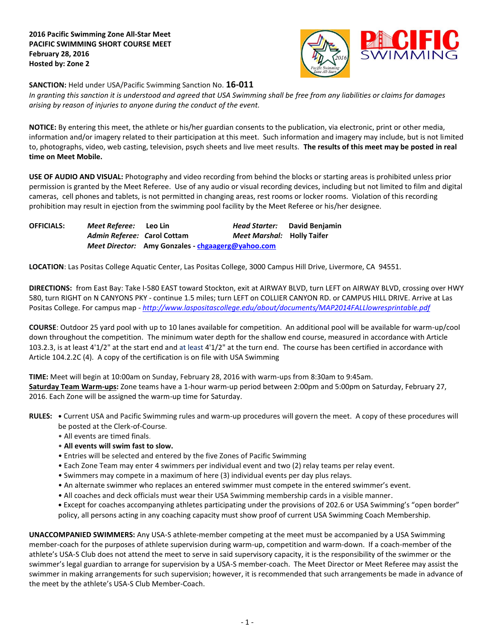

**SANCTION:** Held under USA/Pacific Swimming Sanction No. **16-011**

*In granting this sanction it is understood and agreed that USA Swimming shall be free from any liabilities or claims for damages arising by reason of injuries to anyone during the conduct of the event.*

**NOTICE:** By entering this meet, the athlete or his/her guardian consents to the publication, via electronic, print or other media, information and/or imagery related to their participation at this meet. Such information and imagery may include, but is not limited to, photographs, video, web casting, television, psych sheets and live meet results. **The results of this meet may be posted in real time on Meet Mobile.**

**USE OF AUDIO AND VISUAL:** Photography and video recording from behind the blocks or starting areas is prohibited unless prior permission is granted by the Meet Referee. Use of any audio or visual recording devices, including but not limited to film and digital cameras, cell phones and tablets, is not permitted in changing areas, rest rooms or locker rooms. Violation of this recording prohibition may result in ejection from the swimming pool facility by the Meet Referee or his/her designee.

**OFFICIALS:** *Meet Referee:* **Leo Lin** *Head Starter:* **David Benjamin** *Admin Referee: C***arol Cottam** *Meet Marshal:* **Holly Taifer** *Meet Director:* **Amy Gonzales - [chgaagerg@yahoo.com](mailto:chgaagerg@yahoo.com)**

**LOCATION**: Las Positas College Aquatic Center, Las Positas College, 3000 Campus Hill Drive, Livermore, CA 94551.

**DIRECTIONS:** from East Bay: Take I-580 EAST toward Stockton, exit at AIRWAY BLVD, turn LEFT on AIRWAY BLVD, crossing over HWY 580, turn RIGHT on N CANYONS PKY - continue 1.5 miles; turn LEFT on COLLIER CANYON RD. or CAMPUS HILL DRIVE. Arrive at Las Positas College. For campus map - *<http://www.laspositascollege.edu/about/documents/MAP2014FALLlowresprintable.pdf>*

**COURSE**: Outdoor 25 yard pool with up to 10 lanes available for competition. An additional pool will be available for warm-up/cool down throughout the competition. The minimum water depth for the shallow end course, measured in accordance with Article 103.2.3, is at least 4'1/2" at the start end and at least 4'1/2" at the turn end. The course has been certified in accordance with Article 104.2.2C (4). A copy of the certification is on file with USA Swimming

**TIME:** Meet will begin at 10:00am on Sunday, February 28, 2016 with warm-ups from 8:30am to 9:45am. **Saturday Team Warm-ups:** Zone teams have a 1-hour warm-up period between 2:00pm and 5:00pm on Saturday, February 27, 2016. Each Zone will be assigned the warm-up time for Saturday.

**RULES: •** Current USA and Pacific Swimming rules and warm-up procedures will govern the meet. A copy of these procedures will be posted at the Clerk-of-Course.

- All events are timed finals.
- **All events will swim fast to slow.**
- Entries will be selected and entered by the five Zones of Pacific Swimming
- Each Zone Team may enter 4 swimmers per individual event and two (2) relay teams per relay event.
- Swimmers may compete in a maximum of here (3) individual events per day plus relays.
- An alternate swimmer who replaces an entered swimmer must compete in the entered swimmer's event.
- All coaches and deck officials must wear their USA Swimming membership cards in a visible manner.
- **•** Except for coaches accompanying athletes participating under the provisions of 202.6 or USA Swimming's "open border" policy, all persons acting in any coaching capacity must show proof of current USA Swimming Coach Membership.

**UNACCOMPANIED SWIMMERS:** Any USA-S athlete-member competing at the meet must be accompanied by a USA Swimming member-coach for the purposes of athlete supervision during warm-up, competition and warm-down. If a coach-member of the athlete's USA-S Club does not attend the meet to serve in said supervisory capacity, it is the responsibility of the swimmer or the swimmer's legal guardian to arrange for supervision by a USA-S member-coach. The Meet Director or Meet Referee may assist the swimmer in making arrangements for such supervision; however, it is recommended that such arrangements be made in advance of the meet by the athlete's USA-S Club Member-Coach.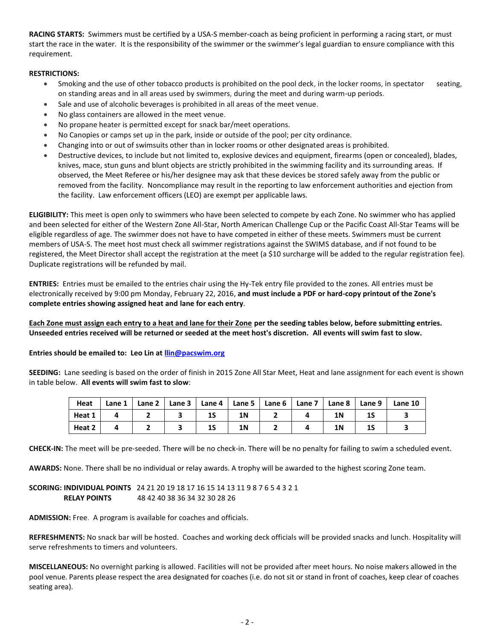**RACING STARTS:** Swimmers must be certified by a USA-S member-coach as being proficient in performing a racing start, or must start the race in the water. It is the responsibility of the swimmer or the swimmer's legal guardian to ensure compliance with this requirement.

## **RESTRICTIONS:**

- Smoking and the use of other tobacco products is prohibited on the pool deck, in the locker rooms, in spectator seating, on standing areas and in all areas used by swimmers, during the meet and during warm-up periods.
- Sale and use of alcoholic beverages is prohibited in all areas of the meet venue.
- No glass containers are allowed in the meet venue.
- No propane heater is permitted except for snack bar/meet operations.
- No Canopies or camps set up in the park, inside or outside of the pool; per city ordinance.
- Changing into or out of swimsuits other than in locker rooms or other designated areas is prohibited.
- Destructive devices, to include but not limited to, explosive devices and equipment, firearms (open or concealed), blades, knives, mace, stun guns and blunt objects are strictly prohibited in the swimming facility and its surrounding areas. If observed, the Meet Referee or his/her designee may ask that these devices be stored safely away from the public or removed from the facility. Noncompliance may result in the reporting to law enforcement authorities and ejection from the facility. Law enforcement officers (LEO) are exempt per applicable laws.

**ELIGIBILITY:** This meet is open only to swimmers who have been selected to compete by each Zone. No swimmer who has applied and been selected for either of the Western Zone All-Star, North American Challenge Cup or the Pacific Coast All-Star Teams will be eligible regardless of age. The swimmer does not have to have competed in either of these meets. Swimmers must be current members of USA-S. The meet host must check all swimmer registrations against the SWIMS database, and if not found to be registered, the Meet Director shall accept the registration at the meet (a \$10 surcharge will be added to the regular registration fee). Duplicate registrations will be refunded by mail.

**ENTRIES:** Entries must be emailed to the entries chair using the Hy-Tek entry file provided to the zones. All entries must be electronically received by 9:00 pm Monday, February 22, 2016, **and must include a PDF or hard-copy printout of the Zone's complete entries showing assigned heat and lane for each entry**.

**Each Zone must assign each entry to a heat and lane for their Zone per the seeding tables below, before submitting entries. Unseeded entries received will be returned or seeded at the meet host's discretion. All events will swim fast to slow.**

## **Entries should be emailed to: Leo Lin a[t llin@pacswim.org](mailto:llin@pacswim.org)**

**SEEDING:** Lane seeding is based on the order of finish in 2015 Zone All Star Meet, Heat and lane assignment for each event is shown in table below. **All events will swim fast to slow**:

| Heat   | Lane 1 | Lane 2 |    | Lane $3 \mid$ Lane $4 \mid$ Lane $5 \mid$ Lane $6 \mid$ | Lane $71$ | Lane 8 | Lane 9 | Lane 10 |
|--------|--------|--------|----|---------------------------------------------------------|-----------|--------|--------|---------|
| Heat 1 |        |        | IJ | 1 N                                                     |           | 1N     | 13     |         |
| Heat 2 |        |        | 15 | 1 N                                                     |           | 1N     | 13     |         |

**CHECK-IN:** The meet will be pre-seeded. There will be no check-in. There will be no penalty for failing to swim a scheduled event.

**AWARDS:** None. There shall be no individual or relay awards. A trophy will be awarded to the highest scoring Zone team.

**SCORING: INDIVIDUAL POINTS** 24 21 20 19 18 17 16 15 14 13 11 9 8 7 6 5 4 3 2 1 **RELAY POINTS** 48 42 40 38 36 34 32 30 28 26

**ADMISSION:** Free. A program is available for coaches and officials.

**REFRESHMENTS:** No snack bar will be hosted. Coaches and working deck officials will be provided snacks and lunch. Hospitality will serve refreshments to timers and volunteers.

**MISCELLANEOUS:** No overnight parking is allowed. Facilities will not be provided after meet hours. No noise makers allowed in the pool venue. Parents please respect the area designated for coaches (i.e. do not sit or stand in front of coaches, keep clear of coaches seating area).